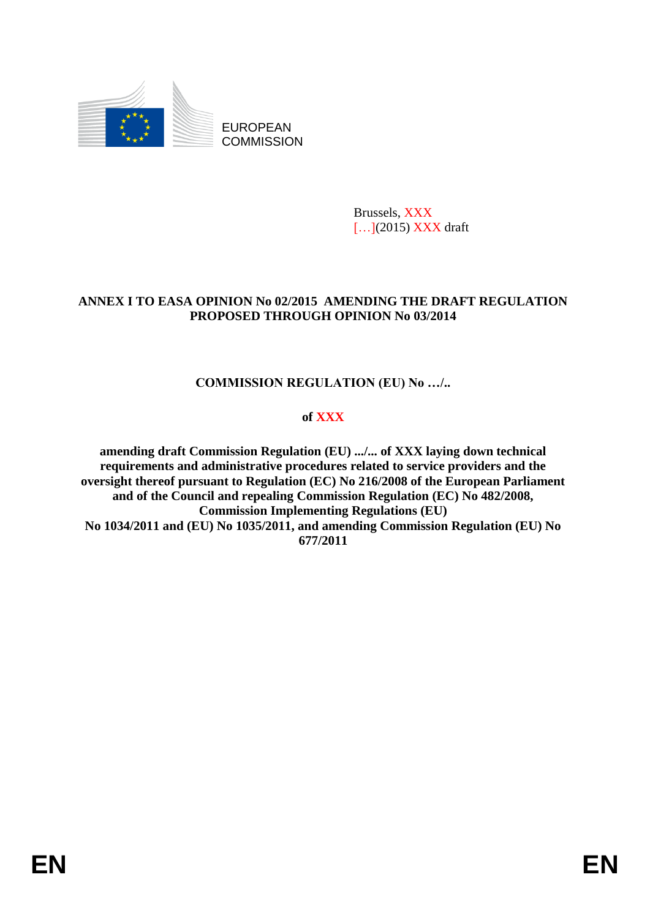

EUROPEAN **COMMISSION** 

> Brussels, XXX [...](2015) XXX draft

### **ANNEX I TO EASA OPINION No 02/2015 AMENDING THE DRAFT REGULATION PROPOSED THROUGH OPINION No 03/2014**

# **COMMISSION REGULATION (EU) No …/..**

### **of XXX**

**amending draft Commission Regulation (EU) .../... of XXX laying down technical requirements and administrative procedures related to service providers and the oversight thereof pursuant to Regulation (EC) No 216/2008 of the European Parliament and of the Council and repealing Commission Regulation (EC) No 482/2008, Commission Implementing Regulations (EU) No 1034/2011 and (EU) No 1035/2011, and amending Commission Regulation (EU) No 677/2011**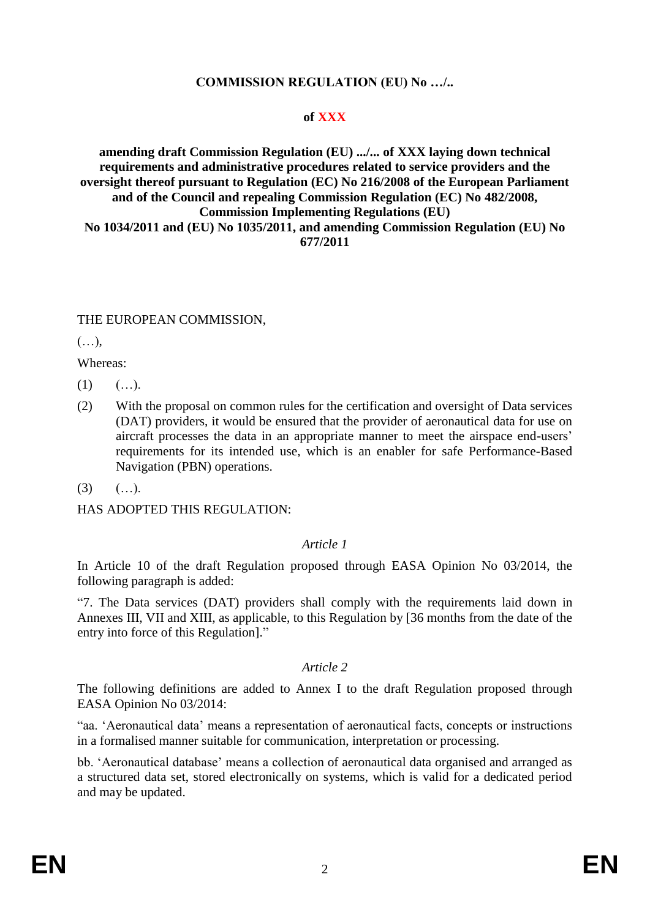### **COMMISSION REGULATION (EU) No …/..**

### **of XXX**

#### **amending draft Commission Regulation (EU) .../... of XXX laying down technical requirements and administrative procedures related to service providers and the oversight thereof pursuant to Regulation (EC) No 216/2008 of the European Parliament and of the Council and repealing Commission Regulation (EC) No 482/2008, Commission Implementing Regulations (EU) No 1034/2011 and (EU) No 1035/2011, and amending Commission Regulation (EU) No 677/2011**

### THE EUROPEAN COMMISSION,

(…),

Whereas:

- $(1)$   $(...).$
- (2) With the proposal on common rules for the certification and oversight of Data services (DAT) providers, it would be ensured that the provider of aeronautical data for use on aircraft processes the data in an appropriate manner to meet the airspace end-users' requirements for its intended use, which is an enabler for safe Performance-Based Navigation (PBN) operations.
- $(3)$   $(...).$

HAS ADOPTED THIS REGULATION:

### *Article 1*

In Article 10 of the draft Regulation proposed through EASA Opinion No 03/2014, the following paragraph is added:

"7. The Data services (DAT) providers shall comply with the requirements laid down in Annexes III, VII and XIII, as applicable, to this Regulation by [36 months from the date of the entry into force of this Regulation]."

### *Article 2*

The following definitions are added to Annex I to the draft Regulation proposed through EASA Opinion No 03/2014:

"aa. 'Aeronautical data' means a representation of aeronautical facts, concepts or instructions in a formalised manner suitable for communication, interpretation or processing.

bb. 'Aeronautical database' means a collection of aeronautical data organised and arranged as a structured data set, stored electronically on systems, which is valid for a dedicated period and may be updated.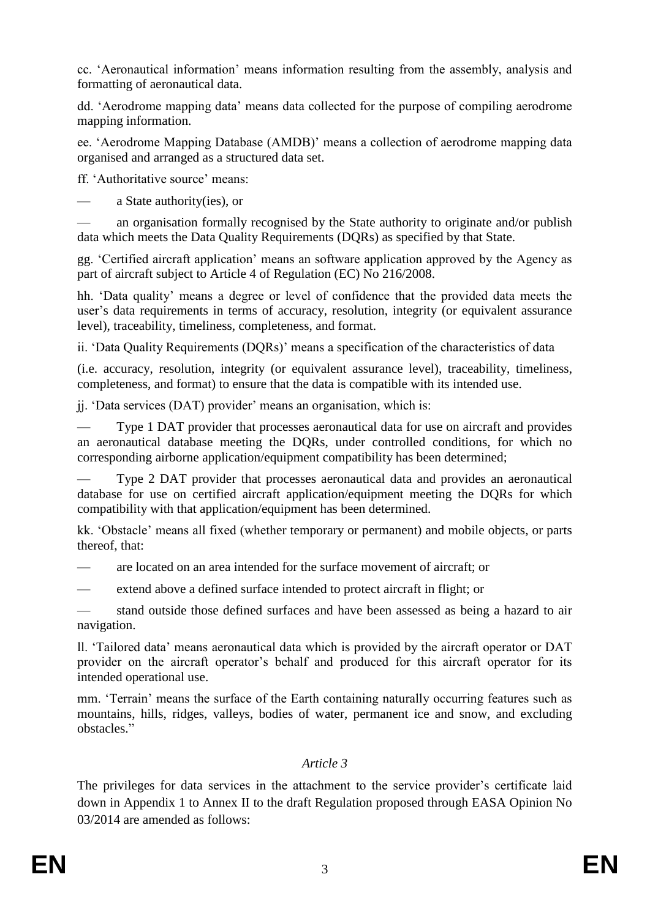cc. 'Aeronautical information' means information resulting from the assembly, analysis and formatting of aeronautical data.

dd. 'Aerodrome mapping data' means data collected for the purpose of compiling aerodrome mapping information.

ee. 'Aerodrome Mapping Database (AMDB)' means a collection of aerodrome mapping data organised and arranged as a structured data set.

ff. 'Authoritative source' means:

— a State authority(ies), or

— an organisation formally recognised by the State authority to originate and/or publish data which meets the Data Quality Requirements (DQRs) as specified by that State.

gg. 'Certified aircraft application' means an software application approved by the Agency as part of aircraft subject to Article 4 of Regulation (EC) No 216/2008.

hh. 'Data quality' means a degree or level of confidence that the provided data meets the user's data requirements in terms of accuracy, resolution, integrity (or equivalent assurance level), traceability, timeliness, completeness, and format.

ii. 'Data Quality Requirements (DQRs)' means a specification of the characteristics of data

(i.e. accuracy, resolution, integrity (or equivalent assurance level), traceability, timeliness, completeness, and format) to ensure that the data is compatible with its intended use.

jj. 'Data services (DAT) provider' means an organisation, which is:

— Type 1 DAT provider that processes aeronautical data for use on aircraft and provides an aeronautical database meeting the DQRs, under controlled conditions, for which no corresponding airborne application/equipment compatibility has been determined;

— Type 2 DAT provider that processes aeronautical data and provides an aeronautical database for use on certified aircraft application/equipment meeting the DQRs for which compatibility with that application/equipment has been determined.

kk. 'Obstacle' means all fixed (whether temporary or permanent) and mobile objects, or parts thereof, that:

— are located on an area intended for the surface movement of aircraft; or

— extend above a defined surface intended to protect aircraft in flight; or

stand outside those defined surfaces and have been assessed as being a hazard to air navigation.

ll. 'Tailored data' means aeronautical data which is provided by the aircraft operator or DAT provider on the aircraft operator's behalf and produced for this aircraft operator for its intended operational use.

mm. 'Terrain' means the surface of the Earth containing naturally occurring features such as mountains, hills, ridges, valleys, bodies of water, permanent ice and snow, and excluding obstacles."

### *Article 3*

The privileges for data services in the attachment to the service provider's certificate laid down in Appendix 1 to Annex II to the draft Regulation proposed through EASA Opinion No 03/2014 are amended as follows: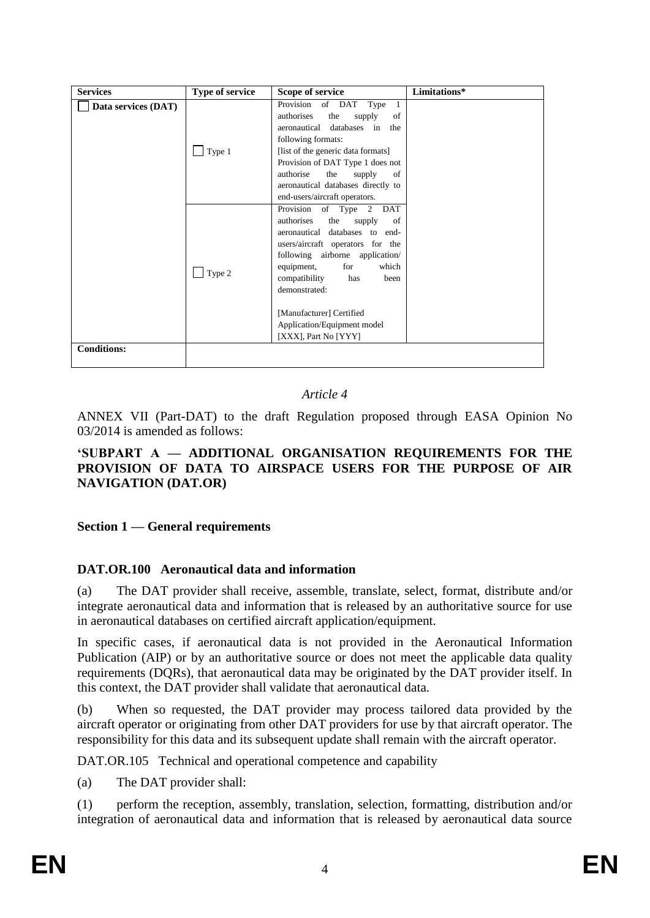| <b>Services</b>     | <b>Type of service</b> | Scope of service                                                                                                                                                                                                                                                                                                                                       | Limitations* |
|---------------------|------------------------|--------------------------------------------------------------------------------------------------------------------------------------------------------------------------------------------------------------------------------------------------------------------------------------------------------------------------------------------------------|--------------|
| Data services (DAT) | $\sqrt{\text{Type 1}}$ | Provision of DAT<br>Type<br>-1<br>authorises<br>the<br>supply<br>of<br>databases in<br>aeronautical<br>the<br>following formats:<br>[list of the generic data formats]<br>Provision of DAT Type 1 does not<br>authorise<br>the<br>supply<br>of<br>aeronautical databases directly to<br>end-users/aircraft operators.                                  |              |
|                     | $\sqrt{$ Type 2        | Provision<br>of Type<br>DAT<br>2<br>authorises<br>the<br>supply<br>of<br>aeronautical<br>databases to<br>end-<br>users/aircraft operators for the<br>following airborne application/<br>for<br>which<br>equipment,<br>compatibility<br>has<br>been<br>demonstrated:<br>[Manufacturer] Certified<br>Application/Equipment model<br>[XXX], Part No [YYY] |              |
| <b>Conditions:</b>  |                        |                                                                                                                                                                                                                                                                                                                                                        |              |
|                     |                        |                                                                                                                                                                                                                                                                                                                                                        |              |

### *Article 4*

ANNEX VII (Part-DAT) to the draft Regulation proposed through EASA Opinion No 03/2014 is amended as follows:

#### **'SUBPART A — ADDITIONAL ORGANISATION REQUIREMENTS FOR THE PROVISION OF DATA TO AIRSPACE USERS FOR THE PURPOSE OF AIR NAVIGATION (DAT.OR)**

### **Section 1 — General requirements**

### **DAT.OR.100 Aeronautical data and information**

(a) The DAT provider shall receive, assemble, translate, select, format, distribute and/or integrate aeronautical data and information that is released by an authoritative source for use in aeronautical databases on certified aircraft application/equipment.

In specific cases, if aeronautical data is not provided in the Aeronautical Information Publication (AIP) or by an authoritative source or does not meet the applicable data quality requirements (DQRs), that aeronautical data may be originated by the DAT provider itself. In this context, the DAT provider shall validate that aeronautical data.

(b) When so requested, the DAT provider may process tailored data provided by the aircraft operator or originating from other DAT providers for use by that aircraft operator. The responsibility for this data and its subsequent update shall remain with the aircraft operator.

DAT.OR.105 Technical and operational competence and capability

(a) The DAT provider shall:

(1) perform the reception, assembly, translation, selection, formatting, distribution and/or integration of aeronautical data and information that is released by aeronautical data source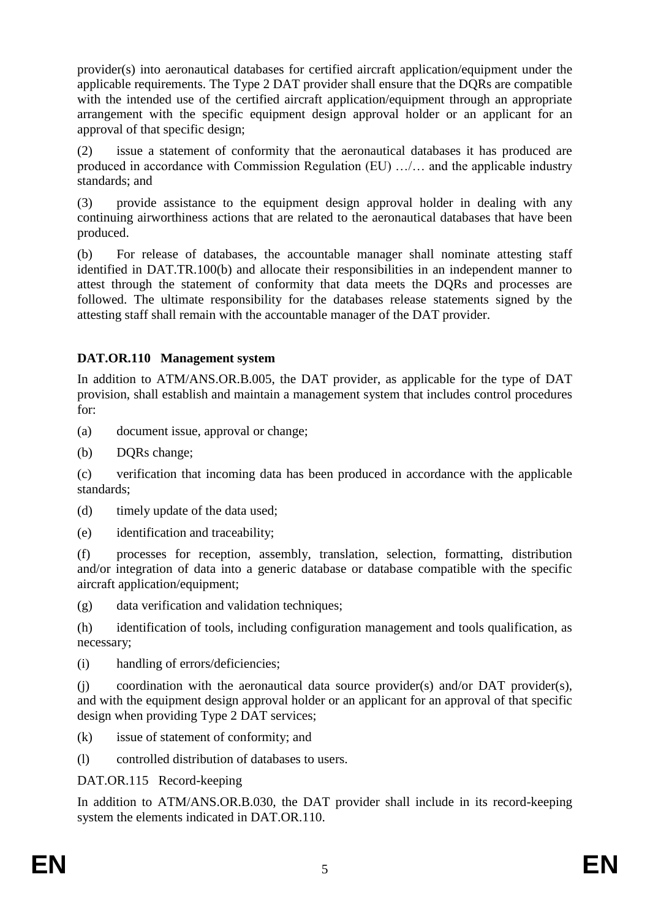provider(s) into aeronautical databases for certified aircraft application/equipment under the applicable requirements. The Type 2 DAT provider shall ensure that the DQRs are compatible with the intended use of the certified aircraft application/equipment through an appropriate arrangement with the specific equipment design approval holder or an applicant for an approval of that specific design;

(2) issue a statement of conformity that the aeronautical databases it has produced are produced in accordance with Commission Regulation (EU) …/… and the applicable industry standards; and

(3) provide assistance to the equipment design approval holder in dealing with any continuing airworthiness actions that are related to the aeronautical databases that have been produced.

(b) For release of databases, the accountable manager shall nominate attesting staff identified in DAT.TR.100(b) and allocate their responsibilities in an independent manner to attest through the statement of conformity that data meets the DQRs and processes are followed. The ultimate responsibility for the databases release statements signed by the attesting staff shall remain with the accountable manager of the DAT provider.

# **DAT.OR.110 Management system**

In addition to ATM/ANS.OR.B.005, the DAT provider, as applicable for the type of DAT provision, shall establish and maintain a management system that includes control procedures for:

(a) document issue, approval or change;

(b) DQRs change;

(c) verification that incoming data has been produced in accordance with the applicable standards;

(d) timely update of the data used;

(e) identification and traceability;

(f) processes for reception, assembly, translation, selection, formatting, distribution and/or integration of data into a generic database or database compatible with the specific aircraft application/equipment;

(g) data verification and validation techniques;

(h) identification of tools, including configuration management and tools qualification, as necessary;

(i) handling of errors/deficiencies;

(j) coordination with the aeronautical data source provider(s) and/or DAT provider(s), and with the equipment design approval holder or an applicant for an approval of that specific design when providing Type 2 DAT services;

(k) issue of statement of conformity; and

(l) controlled distribution of databases to users.

DAT.OR.115 Record-keeping

In addition to ATM/ANS.OR.B.030, the DAT provider shall include in its record-keeping system the elements indicated in DAT.OR.110.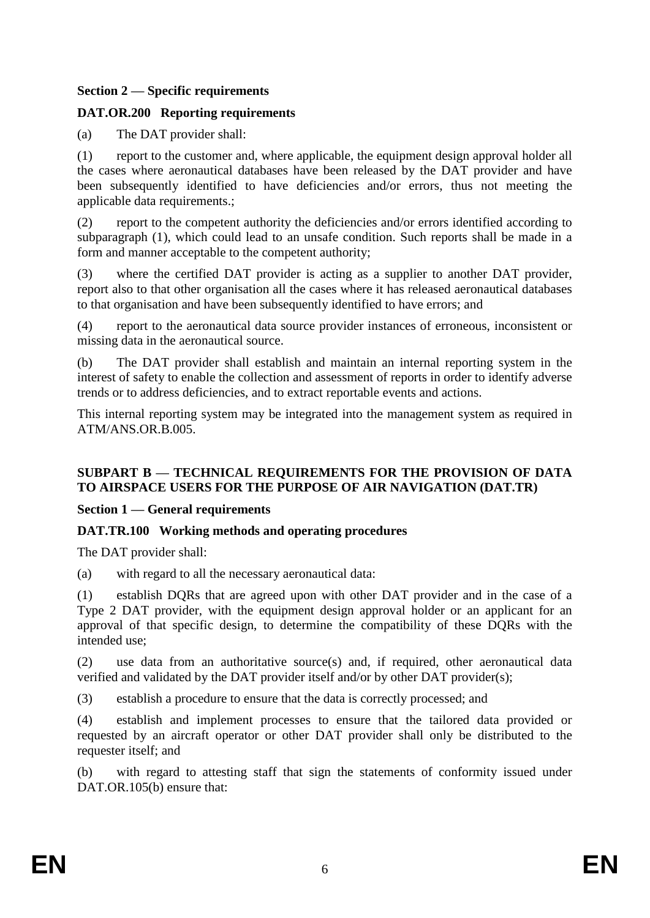### **Section 2 — Specific requirements**

# **DAT.OR.200 Reporting requirements**

(a) The DAT provider shall:

(1) report to the customer and, where applicable, the equipment design approval holder all the cases where aeronautical databases have been released by the DAT provider and have been subsequently identified to have deficiencies and/or errors, thus not meeting the applicable data requirements.;

(2) report to the competent authority the deficiencies and/or errors identified according to subparagraph (1), which could lead to an unsafe condition. Such reports shall be made in a form and manner acceptable to the competent authority;

(3) where the certified DAT provider is acting as a supplier to another DAT provider, report also to that other organisation all the cases where it has released aeronautical databases to that organisation and have been subsequently identified to have errors; and

(4) report to the aeronautical data source provider instances of erroneous, inconsistent or missing data in the aeronautical source.

(b) The DAT provider shall establish and maintain an internal reporting system in the interest of safety to enable the collection and assessment of reports in order to identify adverse trends or to address deficiencies, and to extract reportable events and actions.

This internal reporting system may be integrated into the management system as required in ATM/ANS.OR.B.005.

# **SUBPART B — TECHNICAL REQUIREMENTS FOR THE PROVISION OF DATA TO AIRSPACE USERS FOR THE PURPOSE OF AIR NAVIGATION (DAT.TR)**

### **Section 1 — General requirements**

# **DAT.TR.100 Working methods and operating procedures**

The DAT provider shall:

(a) with regard to all the necessary aeronautical data:

(1) establish DQRs that are agreed upon with other DAT provider and in the case of a Type 2 DAT provider, with the equipment design approval holder or an applicant for an approval of that specific design, to determine the compatibility of these DQRs with the intended use;

(2) use data from an authoritative source(s) and, if required, other aeronautical data verified and validated by the DAT provider itself and/or by other DAT provider(s);

(3) establish a procedure to ensure that the data is correctly processed; and

(4) establish and implement processes to ensure that the tailored data provided or requested by an aircraft operator or other DAT provider shall only be distributed to the requester itself; and

(b) with regard to attesting staff that sign the statements of conformity issued under DAT.OR.105(b) ensure that: